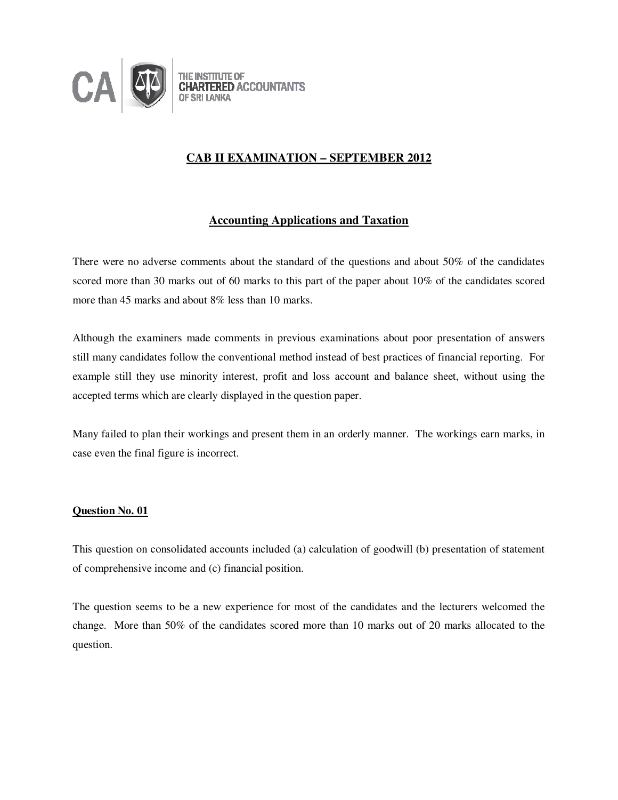

# **CAB II EXAMINATION – SEPTEMBER 2012**

# **Accounting Applications and Taxation**

There were no adverse comments about the standard of the questions and about 50% of the candidates scored more than 30 marks out of 60 marks to this part of the paper about 10% of the candidates scored more than 45 marks and about 8% less than 10 marks.

Although the examiners made comments in previous examinations about poor presentation of answers still many candidates follow the conventional method instead of best practices of financial reporting. For example still they use minority interest, profit and loss account and balance sheet, without using the accepted terms which are clearly displayed in the question paper.

Many failed to plan their workings and present them in an orderly manner. The workings earn marks, in case even the final figure is incorrect.

## **Question No. 01**

This question on consolidated accounts included (a) calculation of goodwill (b) presentation of statement of comprehensive income and (c) financial position.

The question seems to be a new experience for most of the candidates and the lecturers welcomed the change. More than 50% of the candidates scored more than 10 marks out of 20 marks allocated to the question.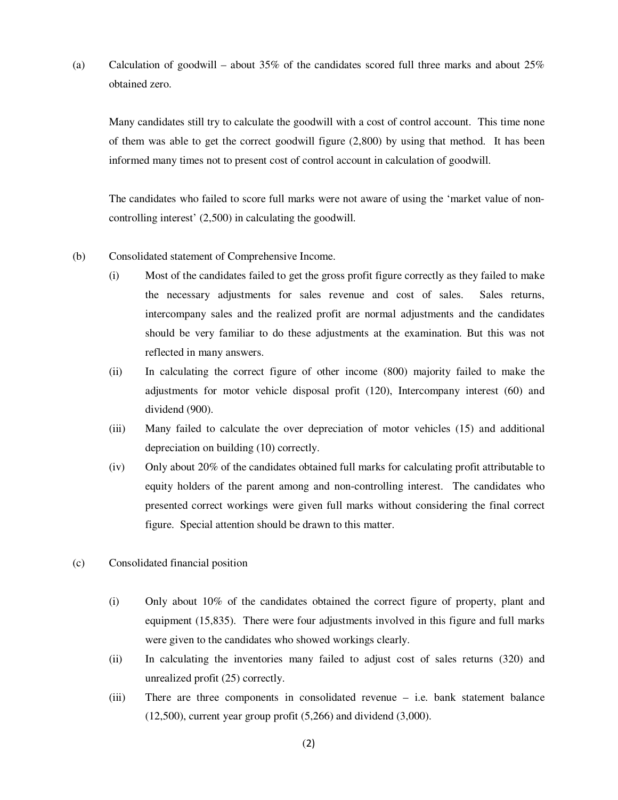(a) Calculation of goodwill – about  $35\%$  of the candidates scored full three marks and about  $25\%$ obtained zero.

Many candidates still try to calculate the goodwill with a cost of control account. This time none of them was able to get the correct goodwill figure (2,800) by using that method. It has been informed many times not to present cost of control account in calculation of goodwill.

The candidates who failed to score full marks were not aware of using the 'market value of noncontrolling interest' (2,500) in calculating the goodwill.

- (b) Consolidated statement of Comprehensive Income.
	- (i) Most of the candidates failed to get the gross profit figure correctly as they failed to make the necessary adjustments for sales revenue and cost of sales. Sales returns, intercompany sales and the realized profit are normal adjustments and the candidates should be very familiar to do these adjustments at the examination. But this was not reflected in many answers.
	- (ii) In calculating the correct figure of other income (800) majority failed to make the adjustments for motor vehicle disposal profit (120), Intercompany interest (60) and dividend (900).
	- (iii) Many failed to calculate the over depreciation of motor vehicles (15) and additional depreciation on building (10) correctly.
	- (iv) Only about 20% of the candidates obtained full marks for calculating profit attributable to equity holders of the parent among and non-controlling interest. The candidates who presented correct workings were given full marks without considering the final correct figure. Special attention should be drawn to this matter.
- (c) Consolidated financial position
	- (i) Only about 10% of the candidates obtained the correct figure of property, plant and equipment (15,835). There were four adjustments involved in this figure and full marks were given to the candidates who showed workings clearly.
	- (ii) In calculating the inventories many failed to adjust cost of sales returns (320) and unrealized profit (25) correctly.
	- (iii) There are three components in consolidated revenue i.e. bank statement balance  $(12,500)$ , current year group profit  $(5,266)$  and dividend  $(3,000)$ .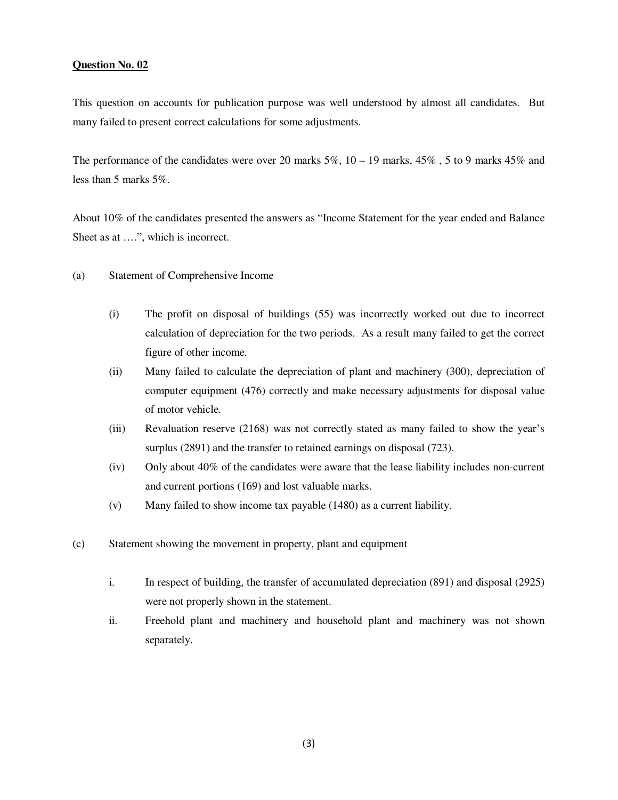This question on accounts for publication purpose was well understood by almost all candidates. But many failed to present correct calculations for some adjustments.

The performance of the candidates were over 20 marks  $5\%$ ,  $10 - 19$  marks,  $45\%$ ,  $5$  to 9 marks  $45\%$  and less than 5 marks 5%.

About 10% of the candidates presented the answers as "Income Statement for the year ended and Balance Sheet as at ….", which is incorrect.

- (a) Statement of Comprehensive Income
	- (i) The profit on disposal of buildings (55) was incorrectly worked out due to incorrect calculation of depreciation for the two periods. As a result many failed to get the correct figure of other income.
	- (ii) Many failed to calculate the depreciation of plant and machinery (300), depreciation of computer equipment (476) correctly and make necessary adjustments for disposal value of motor vehicle.
	- (iii) Revaluation reserve (2168) was not correctly stated as many failed to show the year's surplus (2891) and the transfer to retained earnings on disposal (723).
	- (iv) Only about 40% of the candidates were aware that the lease liability includes non-current and current portions (169) and lost valuable marks.
	- (v) Many failed to show income tax payable (1480) as a current liability.
- (c) Statement showing the movement in property, plant and equipment
	- i. In respect of building, the transfer of accumulated depreciation (891) and disposal (2925) were not properly shown in the statement.
	- ii. Freehold plant and machinery and household plant and machinery was not shown separately.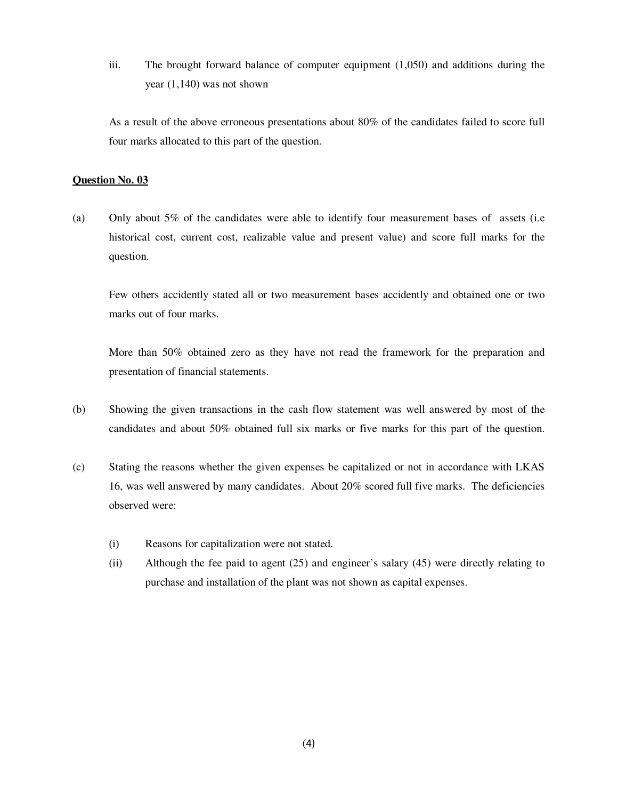iii. The brought forward balance of computer equipment (1,050) and additions during the year (1,140) was not shown

As a result of the above erroneous presentations about 80% of the candidates failed to score full four marks allocated to this part of the question.

## **Question No. 03**

(a) Only about 5% of the candidates were able to identify four measurement bases of assets (i.e historical cost, current cost, realizable value and present value) and score full marks for the question.

Few others accidently stated all or two measurement bases accidently and obtained one or two marks out of four marks.

More than 50% obtained zero as they have not read the framework for the preparation and presentation of financial statements.

- (b) Showing the given transactions in the cash flow statement was well answered by most of the candidates and about 50% obtained full six marks or five marks for this part of the question.
- (c) Stating the reasons whether the given expenses be capitalized or not in accordance with LKAS 16, was well answered by many candidates. About 20% scored full five marks. The deficiencies observed were:
	- (i) Reasons for capitalization were not stated.
	- (ii) Although the fee paid to agent (25) and engineer's salary (45) were directly relating to purchase and installation of the plant was not shown as capital expenses.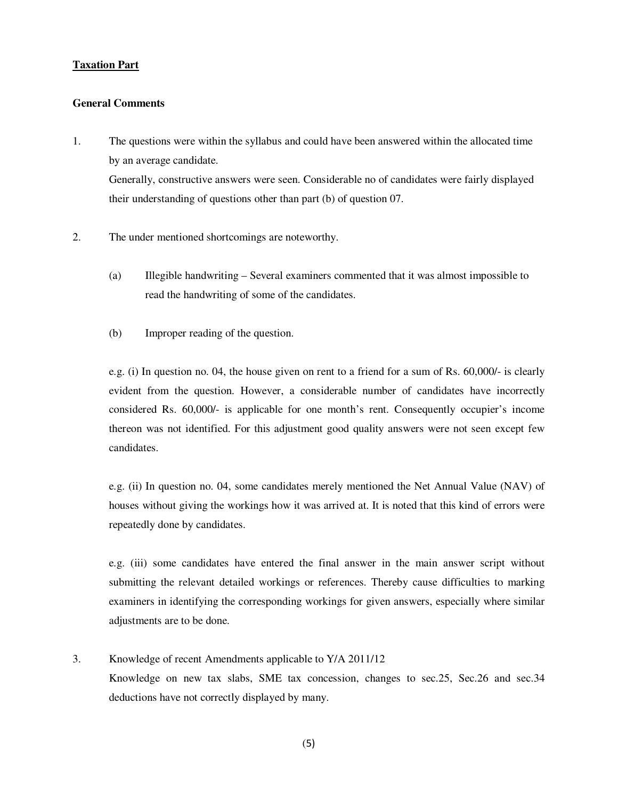## **Taxation Part**

## **General Comments**

- 1. The questions were within the syllabus and could have been answered within the allocated time by an average candidate. Generally, constructive answers were seen. Considerable no of candidates were fairly displayed their understanding of questions other than part (b) of question 07.
- 2. The under mentioned shortcomings are noteworthy.
	- (a) Illegible handwriting Several examiners commented that it was almost impossible to read the handwriting of some of the candidates.
	- (b) Improper reading of the question.

e.g. (i) In question no. 04, the house given on rent to a friend for a sum of Rs. 60,000/- is clearly evident from the question. However, a considerable number of candidates have incorrectly considered Rs. 60,000/- is applicable for one month's rent. Consequently occupier's income thereon was not identified. For this adjustment good quality answers were not seen except few candidates.

e.g. (ii) In question no. 04, some candidates merely mentioned the Net Annual Value (NAV) of houses without giving the workings how it was arrived at. It is noted that this kind of errors were repeatedly done by candidates.

e.g. (iii) some candidates have entered the final answer in the main answer script without submitting the relevant detailed workings or references. Thereby cause difficulties to marking examiners in identifying the corresponding workings for given answers, especially where similar adjustments are to be done.

3. Knowledge of recent Amendments applicable to Y/A 2011/12 Knowledge on new tax slabs, SME tax concession, changes to sec.25, Sec.26 and sec.34 deductions have not correctly displayed by many.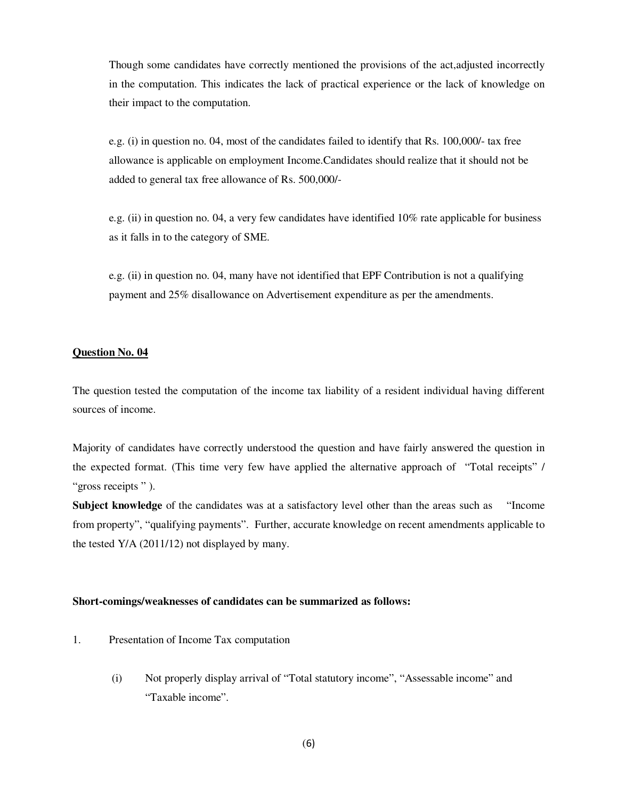Though some candidates have correctly mentioned the provisions of the act,adjusted incorrectly in the computation. This indicates the lack of practical experience or the lack of knowledge on their impact to the computation.

e.g. (i) in question no. 04, most of the candidates failed to identify that Rs. 100,000/- tax free allowance is applicable on employment Income.Candidates should realize that it should not be added to general tax free allowance of Rs. 500,000/-

e.g. (ii) in question no. 04, a very few candidates have identified 10% rate applicable for business as it falls in to the category of SME.

e.g. (ii) in question no. 04, many have not identified that EPF Contribution is not a qualifying payment and 25% disallowance on Advertisement expenditure as per the amendments.

### **Question No. 04**

The question tested the computation of the income tax liability of a resident individual having different sources of income.

Majority of candidates have correctly understood the question and have fairly answered the question in the expected format. (This time very few have applied the alternative approach of "Total receipts" / "gross receipts").

**Subject knowledge** of the candidates was at a satisfactory level other than the areas such as "Income from property", "qualifying payments". Further, accurate knowledge on recent amendments applicable to the tested Y/A (2011/12) not displayed by many.

### **Short-comings/weaknesses of candidates can be summarized as follows:**

- 1. Presentation of Income Tax computation
	- (i) Not properly display arrival of "Total statutory income", "Assessable income" and "Taxable income".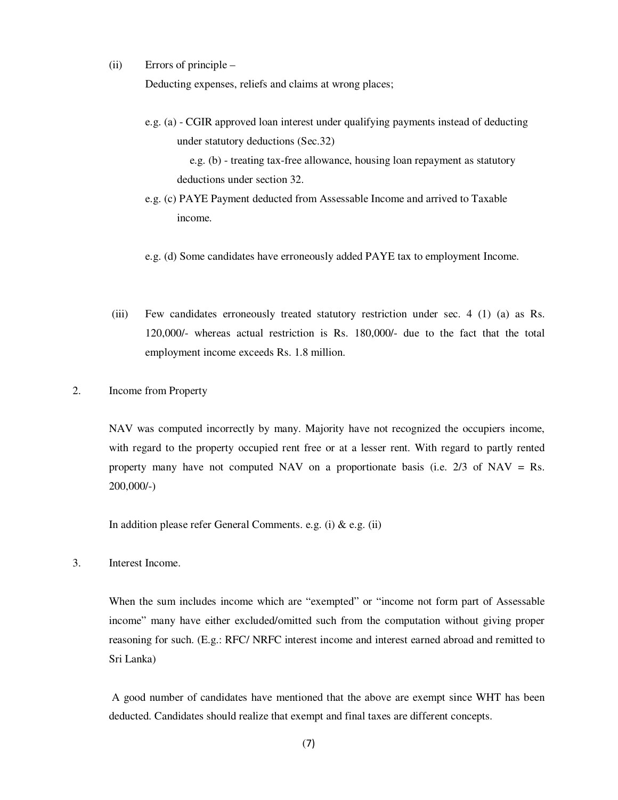(ii) Errors of principle –

Deducting expenses, reliefs and claims at wrong places;

e.g. (a) - CGIR approved loan interest under qualifying payments instead of deducting under statutory deductions (Sec.32)

 e.g. (b) - treating tax-free allowance, housing loan repayment as statutory deductions under section 32.

- e.g. (c) PAYE Payment deducted from Assessable Income and arrived to Taxable income.
- e.g. (d) Some candidates have erroneously added PAYE tax to employment Income.
- (iii) Few candidates erroneously treated statutory restriction under sec. 4 (1) (a) as Rs. 120,000/- whereas actual restriction is Rs. 180,000/- due to the fact that the total employment income exceeds Rs. 1.8 million.
- 2. Income from Property

 NAV was computed incorrectly by many. Majority have not recognized the occupiers income, with regard to the property occupied rent free or at a lesser rent. With regard to partly rented property many have not computed NAV on a proportionate basis (i.e.  $2/3$  of NAV = Rs. 200,000/-)

In addition please refer General Comments. e.g. (i)  $\&$  e.g. (ii)

3. Interest Income.

When the sum includes income which are "exempted" or "income not form part of Assessable income" many have either excluded/omitted such from the computation without giving proper reasoning for such. (E.g.: RFC/ NRFC interest income and interest earned abroad and remitted to Sri Lanka)

 A good number of candidates have mentioned that the above are exempt since WHT has been deducted. Candidates should realize that exempt and final taxes are different concepts.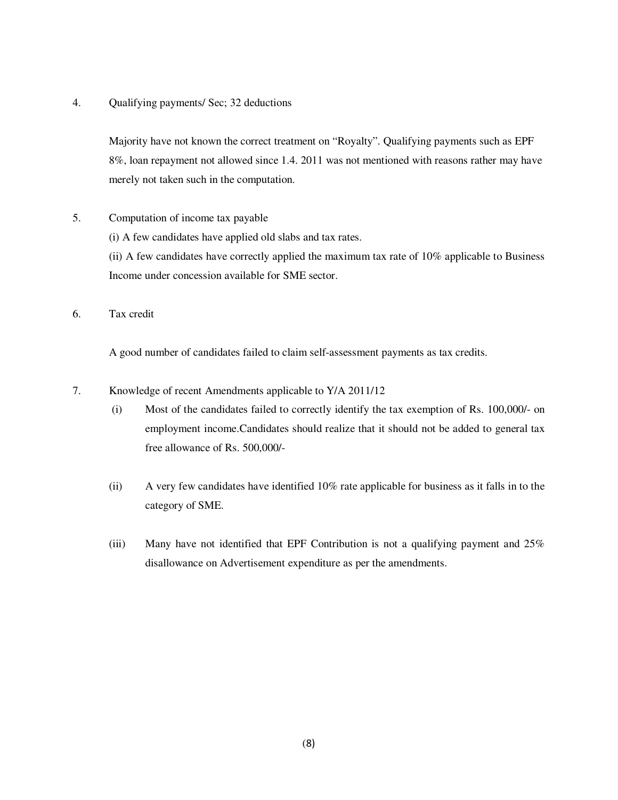4. Qualifying payments/ Sec; 32 deductions

Majority have not known the correct treatment on "Royalty". Qualifying payments such as EPF 8%, loan repayment not allowed since 1.4. 2011 was not mentioned with reasons rather may have merely not taken such in the computation.

5. Computation of income tax payable

(i) A few candidates have applied old slabs and tax rates.

(ii) A few candidates have correctly applied the maximum tax rate of 10% applicable to Business Income under concession available for SME sector.

6. Tax credit

A good number of candidates failed to claim self-assessment payments as tax credits.

- 7. Knowledge of recent Amendments applicable to Y/A 2011/12
	- (i) Most of the candidates failed to correctly identify the tax exemption of Rs. 100,000/- on employment income.Candidates should realize that it should not be added to general tax free allowance of Rs. 500,000/-
	- (ii) A very few candidates have identified 10% rate applicable for business as it falls in to the category of SME.
	- (iii) Many have not identified that EPF Contribution is not a qualifying payment and 25% disallowance on Advertisement expenditure as per the amendments.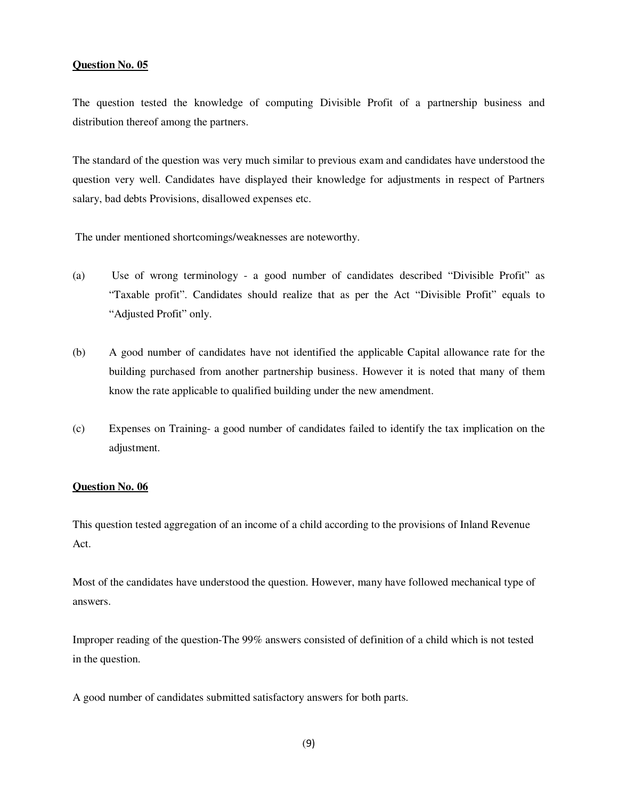The question tested the knowledge of computing Divisible Profit of a partnership business and distribution thereof among the partners.

The standard of the question was very much similar to previous exam and candidates have understood the question very well. Candidates have displayed their knowledge for adjustments in respect of Partners salary, bad debts Provisions, disallowed expenses etc.

The under mentioned shortcomings/weaknesses are noteworthy.

- (a) Use of wrong terminology a good number of candidates described "Divisible Profit" as "Taxable profit". Candidates should realize that as per the Act "Divisible Profit" equals to "Adjusted Profit" only.
- (b) A good number of candidates have not identified the applicable Capital allowance rate for the building purchased from another partnership business. However it is noted that many of them know the rate applicable to qualified building under the new amendment.
- (c) Expenses on Training- a good number of candidates failed to identify the tax implication on the adjustment.

### **Question No. 06**

This question tested aggregation of an income of a child according to the provisions of Inland Revenue Act.

Most of the candidates have understood the question. However, many have followed mechanical type of answers.

Improper reading of the question-The 99% answers consisted of definition of a child which is not tested in the question.

A good number of candidates submitted satisfactory answers for both parts.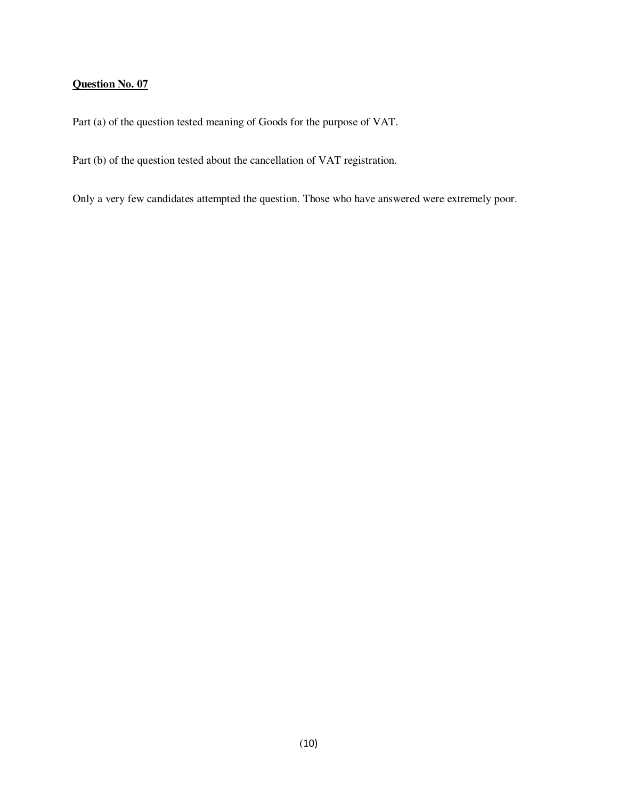Part (a) of the question tested meaning of Goods for the purpose of VAT.

Part (b) of the question tested about the cancellation of VAT registration.

Only a very few candidates attempted the question. Those who have answered were extremely poor.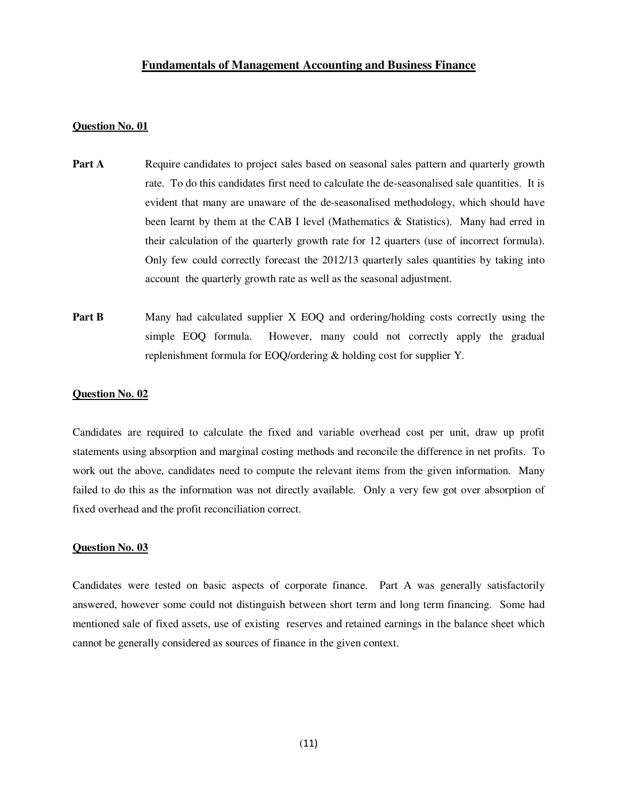## **Fundamentals of Management Accounting and Business Finance**

### **Question No. 01**

- **Part A** Require candidates to project sales based on seasonal sales pattern and quarterly growth rate. To do this candidates first need to calculate the de-seasonalised sale quantities. It is evident that many are unaware of the de-seasonalised methodology, which should have been learnt by them at the CAB I level (Mathematics & Statistics). Many had erred in their calculation of the quarterly growth rate for 12 quarters (use of incorrect formula). Only few could correctly forecast the 2012/13 quarterly sales quantities by taking into account the quarterly growth rate as well as the seasonal adjustment.
- **Part B** Many had calculated supplier X EOQ and ordering/holding costs correctly using the simple EOQ formula. However, many could not correctly apply the gradual replenishment formula for EOQ/ordering & holding cost for supplier Y.

#### **Question No. 02**

Candidates are required to calculate the fixed and variable overhead cost per unit, draw up profit statements using absorption and marginal costing methods and reconcile the difference in net profits. To work out the above, candidates need to compute the relevant items from the given information. Many failed to do this as the information was not directly available. Only a very few got over absorption of fixed overhead and the profit reconciliation correct.

#### **Question No. 03**

Candidates were tested on basic aspects of corporate finance. Part A was generally satisfactorily answered, however some could not distinguish between short term and long term financing. Some had mentioned sale of fixed assets, use of existing reserves and retained earnings in the balance sheet which cannot be generally considered as sources of finance in the given context.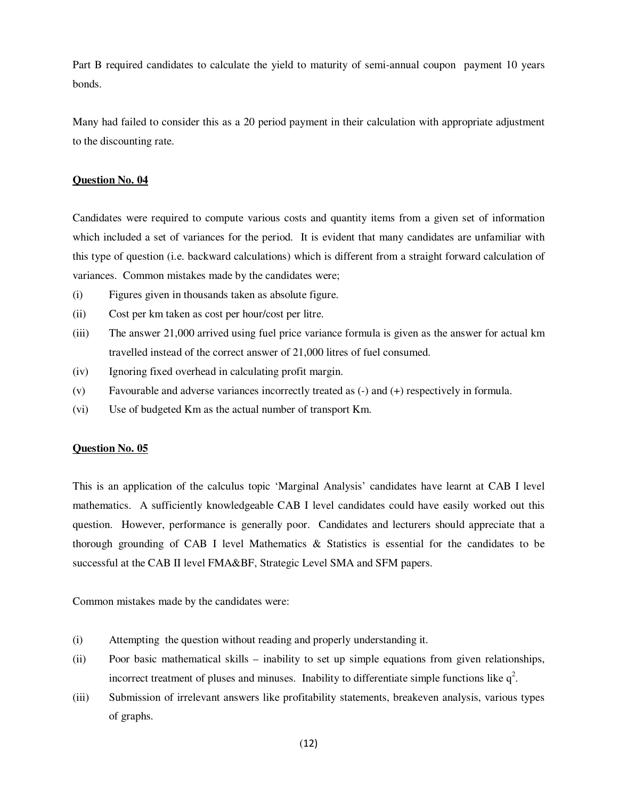Part B required candidates to calculate the yield to maturity of semi-annual coupon payment 10 years bonds.

Many had failed to consider this as a 20 period payment in their calculation with appropriate adjustment to the discounting rate.

### **Question No. 04**

Candidates were required to compute various costs and quantity items from a given set of information which included a set of variances for the period. It is evident that many candidates are unfamiliar with this type of question (i.e. backward calculations) which is different from a straight forward calculation of variances. Common mistakes made by the candidates were;

- (i) Figures given in thousands taken as absolute figure.
- (ii) Cost per km taken as cost per hour/cost per litre.
- (iii) The answer 21,000 arrived using fuel price variance formula is given as the answer for actual km travelled instead of the correct answer of 21,000 litres of fuel consumed.
- (iv) Ignoring fixed overhead in calculating profit margin.
- (v) Favourable and adverse variances incorrectly treated as (-) and (+) respectively in formula.
- (vi) Use of budgeted Km as the actual number of transport Km.

### **Question No. 05**

This is an application of the calculus topic 'Marginal Analysis' candidates have learnt at CAB I level mathematics. A sufficiently knowledgeable CAB I level candidates could have easily worked out this question. However, performance is generally poor. Candidates and lecturers should appreciate that a thorough grounding of CAB I level Mathematics & Statistics is essential for the candidates to be successful at the CAB II level FMA&BF, Strategic Level SMA and SFM papers.

Common mistakes made by the candidates were:

- (i) Attempting the question without reading and properly understanding it.
- (ii) Poor basic mathematical skills inability to set up simple equations from given relationships, incorrect treatment of pluses and minuses. Inability to differentiate simple functions like  $q^2$ .
- (iii) Submission of irrelevant answers like profitability statements, breakeven analysis, various types of graphs.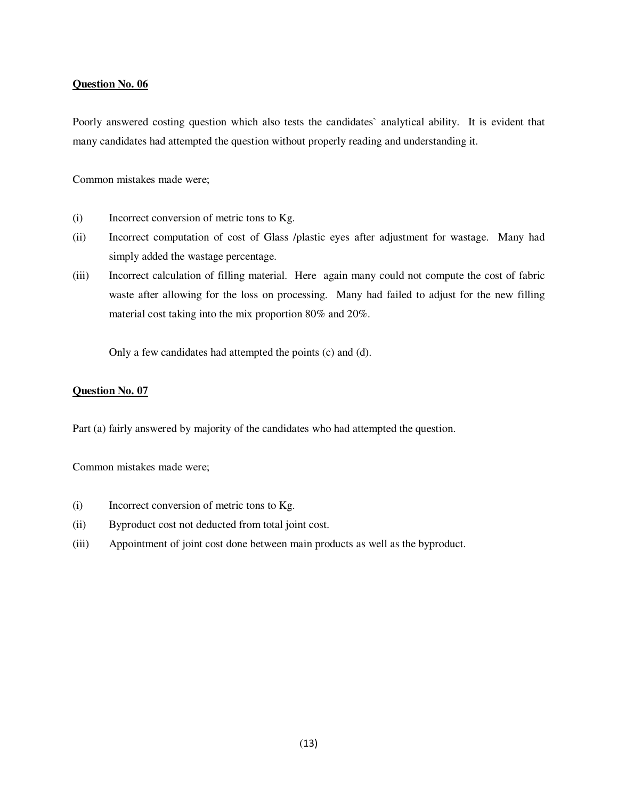Poorly answered costing question which also tests the candidates` analytical ability. It is evident that many candidates had attempted the question without properly reading and understanding it.

Common mistakes made were;

- (i) Incorrect conversion of metric tons to Kg.
- (ii) Incorrect computation of cost of Glass /plastic eyes after adjustment for wastage. Many had simply added the wastage percentage.
- (iii) Incorrect calculation of filling material. Here again many could not compute the cost of fabric waste after allowing for the loss on processing. Many had failed to adjust for the new filling material cost taking into the mix proportion 80% and 20%.

Only a few candidates had attempted the points (c) and (d).

## **Question No. 07**

Part (a) fairly answered by majority of the candidates who had attempted the question.

Common mistakes made were;

- (i) Incorrect conversion of metric tons to Kg.
- (ii) Byproduct cost not deducted from total joint cost.
- (iii) Appointment of joint cost done between main products as well as the byproduct.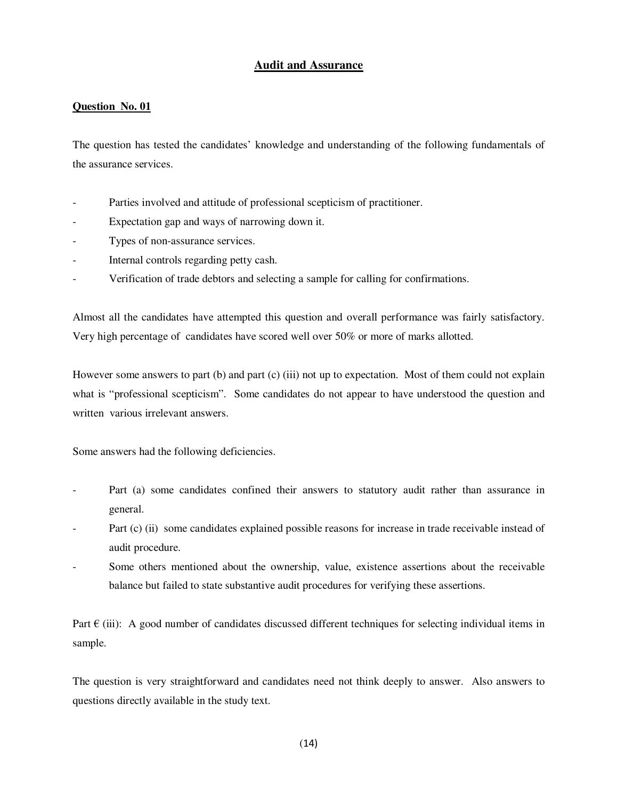# **Audit and Assurance**

## **Question No. 01**

The question has tested the candidates' knowledge and understanding of the following fundamentals of the assurance services.

- Parties involved and attitude of professional scepticism of practitioner.
- Expectation gap and ways of narrowing down it.
- Types of non-assurance services.
- Internal controls regarding petty cash.
- Verification of trade debtors and selecting a sample for calling for confirmations.

Almost all the candidates have attempted this question and overall performance was fairly satisfactory. Very high percentage of candidates have scored well over 50% or more of marks allotted.

However some answers to part (b) and part (c) (iii) not up to expectation. Most of them could not explain what is "professional scepticism". Some candidates do not appear to have understood the question and written various irrelevant answers.

Some answers had the following deficiencies.

- Part (a) some candidates confined their answers to statutory audit rather than assurance in general.
- Part (c) (ii) some candidates explained possible reasons for increase in trade receivable instead of audit procedure.
- Some others mentioned about the ownership, value, existence assertions about the receivable balance but failed to state substantive audit procedures for verifying these assertions.

Part  $\epsilon$  (iii): A good number of candidates discussed different techniques for selecting individual items in sample.

The question is very straightforward and candidates need not think deeply to answer. Also answers to questions directly available in the study text.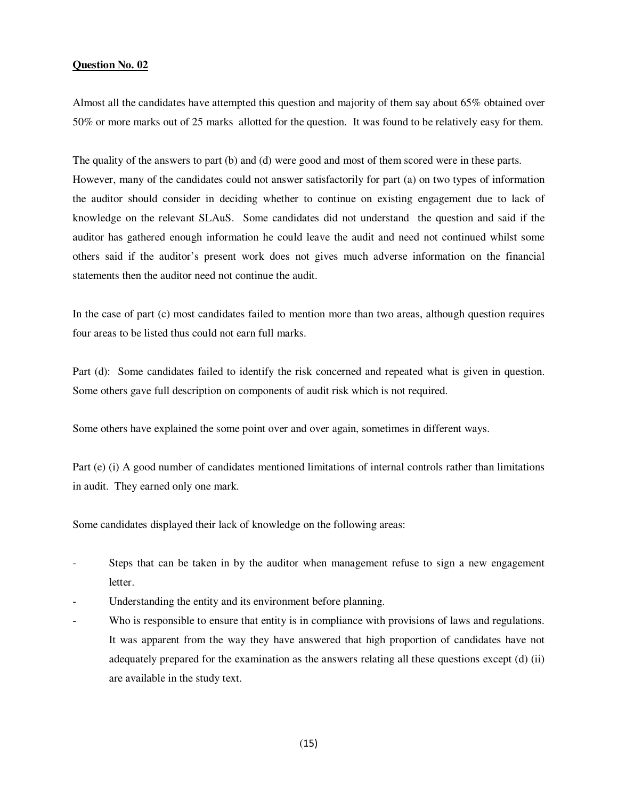Almost all the candidates have attempted this question and majority of them say about 65% obtained over 50% or more marks out of 25 marks allotted for the question. It was found to be relatively easy for them.

The quality of the answers to part (b) and (d) were good and most of them scored were in these parts. However, many of the candidates could not answer satisfactorily for part (a) on two types of information the auditor should consider in deciding whether to continue on existing engagement due to lack of knowledge on the relevant SLAuS. Some candidates did not understand the question and said if the auditor has gathered enough information he could leave the audit and need not continued whilst some others said if the auditor's present work does not gives much adverse information on the financial statements then the auditor need not continue the audit.

In the case of part (c) most candidates failed to mention more than two areas, although question requires four areas to be listed thus could not earn full marks.

Part (d): Some candidates failed to identify the risk concerned and repeated what is given in question. Some others gave full description on components of audit risk which is not required.

Some others have explained the some point over and over again, sometimes in different ways.

Part (e) (i) A good number of candidates mentioned limitations of internal controls rather than limitations in audit. They earned only one mark.

Some candidates displayed their lack of knowledge on the following areas:

- Steps that can be taken in by the auditor when management refuse to sign a new engagement letter.
- Understanding the entity and its environment before planning.
- Who is responsible to ensure that entity is in compliance with provisions of laws and regulations. It was apparent from the way they have answered that high proportion of candidates have not adequately prepared for the examination as the answers relating all these questions except (d) (ii) are available in the study text.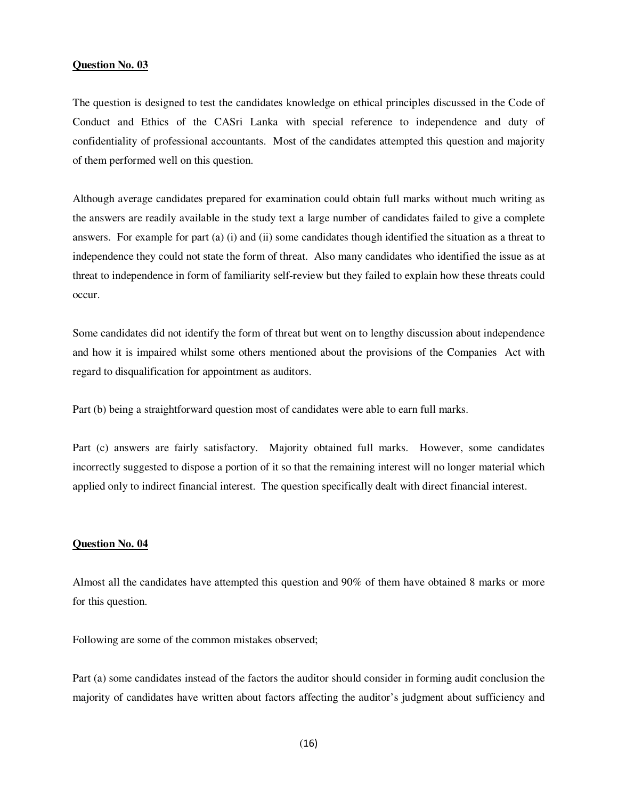The question is designed to test the candidates knowledge on ethical principles discussed in the Code of Conduct and Ethics of the CASri Lanka with special reference to independence and duty of confidentiality of professional accountants. Most of the candidates attempted this question and majority of them performed well on this question.

Although average candidates prepared for examination could obtain full marks without much writing as the answers are readily available in the study text a large number of candidates failed to give a complete answers. For example for part (a) (i) and (ii) some candidates though identified the situation as a threat to independence they could not state the form of threat. Also many candidates who identified the issue as at threat to independence in form of familiarity self-review but they failed to explain how these threats could occur.

Some candidates did not identify the form of threat but went on to lengthy discussion about independence and how it is impaired whilst some others mentioned about the provisions of the Companies Act with regard to disqualification for appointment as auditors.

Part (b) being a straightforward question most of candidates were able to earn full marks.

Part (c) answers are fairly satisfactory. Majority obtained full marks. However, some candidates incorrectly suggested to dispose a portion of it so that the remaining interest will no longer material which applied only to indirect financial interest. The question specifically dealt with direct financial interest.

#### **Question No. 04**

Almost all the candidates have attempted this question and 90% of them have obtained 8 marks or more for this question.

Following are some of the common mistakes observed;

Part (a) some candidates instead of the factors the auditor should consider in forming audit conclusion the majority of candidates have written about factors affecting the auditor's judgment about sufficiency and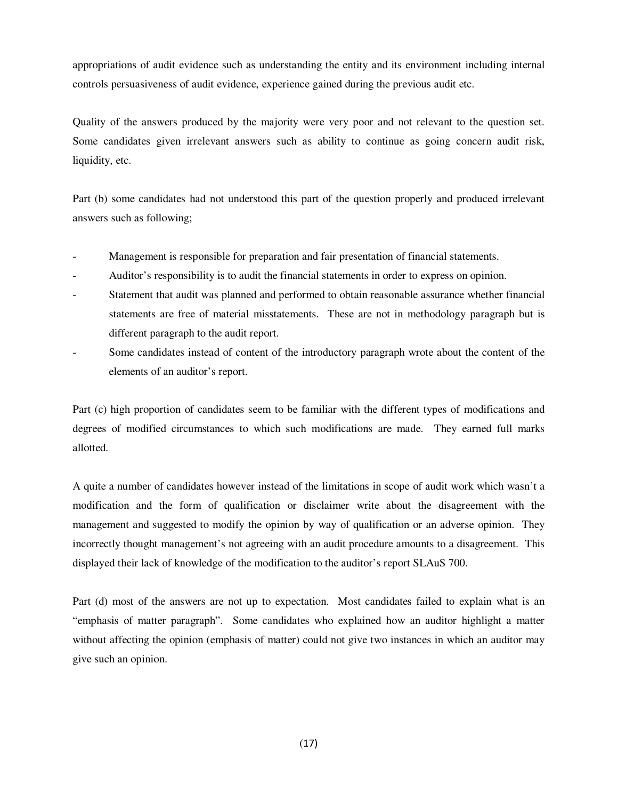appropriations of audit evidence such as understanding the entity and its environment including internal controls persuasiveness of audit evidence, experience gained during the previous audit etc.

Quality of the answers produced by the majority were very poor and not relevant to the question set. Some candidates given irrelevant answers such as ability to continue as going concern audit risk, liquidity, etc.

Part (b) some candidates had not understood this part of the question properly and produced irrelevant answers such as following;

- Management is responsible for preparation and fair presentation of financial statements.
- Auditor's responsibility is to audit the financial statements in order to express on opinion.
- Statement that audit was planned and performed to obtain reasonable assurance whether financial statements are free of material misstatements. These are not in methodology paragraph but is different paragraph to the audit report.
- Some candidates instead of content of the introductory paragraph wrote about the content of the elements of an auditor's report.

Part (c) high proportion of candidates seem to be familiar with the different types of modifications and degrees of modified circumstances to which such modifications are made. They earned full marks allotted.

A quite a number of candidates however instead of the limitations in scope of audit work which wasn't a modification and the form of qualification or disclaimer write about the disagreement with the management and suggested to modify the opinion by way of qualification or an adverse opinion. They incorrectly thought management's not agreeing with an audit procedure amounts to a disagreement. This displayed their lack of knowledge of the modification to the auditor's report SLAuS 700.

Part (d) most of the answers are not up to expectation. Most candidates failed to explain what is an "emphasis of matter paragraph". Some candidates who explained how an auditor highlight a matter without affecting the opinion (emphasis of matter) could not give two instances in which an auditor may give such an opinion.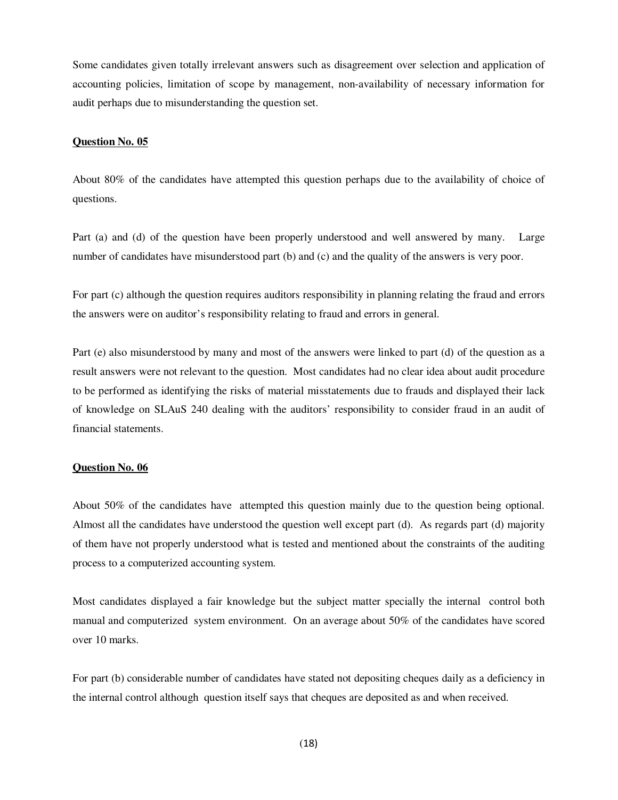Some candidates given totally irrelevant answers such as disagreement over selection and application of accounting policies, limitation of scope by management, non-availability of necessary information for audit perhaps due to misunderstanding the question set.

#### **Question No. 05**

About 80% of the candidates have attempted this question perhaps due to the availability of choice of questions.

Part (a) and (d) of the question have been properly understood and well answered by many. Large number of candidates have misunderstood part (b) and (c) and the quality of the answers is very poor.

For part (c) although the question requires auditors responsibility in planning relating the fraud and errors the answers were on auditor's responsibility relating to fraud and errors in general.

Part (e) also misunderstood by many and most of the answers were linked to part (d) of the question as a result answers were not relevant to the question. Most candidates had no clear idea about audit procedure to be performed as identifying the risks of material misstatements due to frauds and displayed their lack of knowledge on SLAuS 240 dealing with the auditors' responsibility to consider fraud in an audit of financial statements.

#### **Question No. 06**

About 50% of the candidates have attempted this question mainly due to the question being optional. Almost all the candidates have understood the question well except part (d). As regards part (d) majority of them have not properly understood what is tested and mentioned about the constraints of the auditing process to a computerized accounting system.

Most candidates displayed a fair knowledge but the subject matter specially the internal control both manual and computerized system environment. On an average about 50% of the candidates have scored over 10 marks.

For part (b) considerable number of candidates have stated not depositing cheques daily as a deficiency in the internal control although question itself says that cheques are deposited as and when received.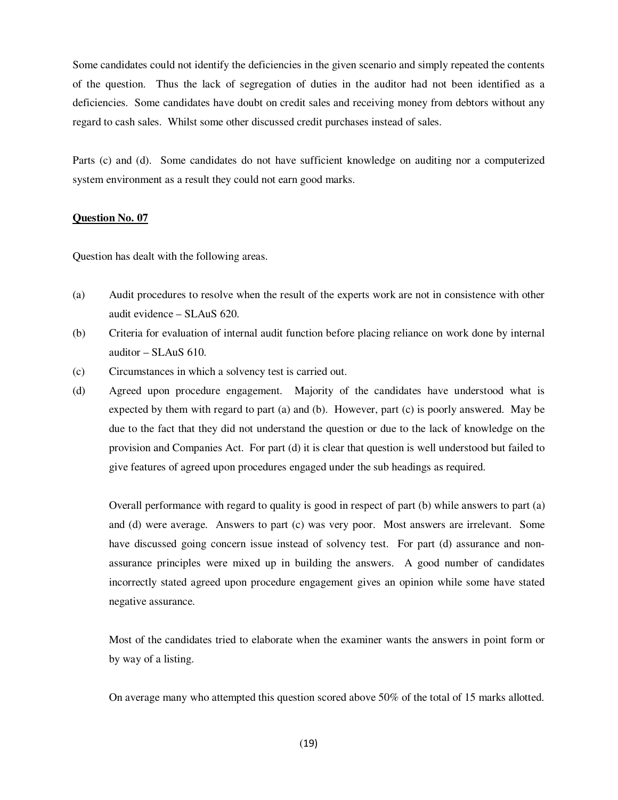Some candidates could not identify the deficiencies in the given scenario and simply repeated the contents of the question. Thus the lack of segregation of duties in the auditor had not been identified as a deficiencies. Some candidates have doubt on credit sales and receiving money from debtors without any regard to cash sales. Whilst some other discussed credit purchases instead of sales.

Parts (c) and (d). Some candidates do not have sufficient knowledge on auditing nor a computerized system environment as a result they could not earn good marks.

## **Question No. 07**

Question has dealt with the following areas.

- (a) Audit procedures to resolve when the result of the experts work are not in consistence with other audit evidence – SLAuS 620.
- (b) Criteria for evaluation of internal audit function before placing reliance on work done by internal auditor – SLAuS 610.
- (c) Circumstances in which a solvency test is carried out.
- (d) Agreed upon procedure engagement. Majority of the candidates have understood what is expected by them with regard to part (a) and (b). However, part (c) is poorly answered. May be due to the fact that they did not understand the question or due to the lack of knowledge on the provision and Companies Act. For part (d) it is clear that question is well understood but failed to give features of agreed upon procedures engaged under the sub headings as required.

Overall performance with regard to quality is good in respect of part (b) while answers to part (a) and (d) were average. Answers to part (c) was very poor. Most answers are irrelevant. Some have discussed going concern issue instead of solvency test. For part (d) assurance and nonassurance principles were mixed up in building the answers. A good number of candidates incorrectly stated agreed upon procedure engagement gives an opinion while some have stated negative assurance.

Most of the candidates tried to elaborate when the examiner wants the answers in point form or by way of a listing.

On average many who attempted this question scored above 50% of the total of 15 marks allotted.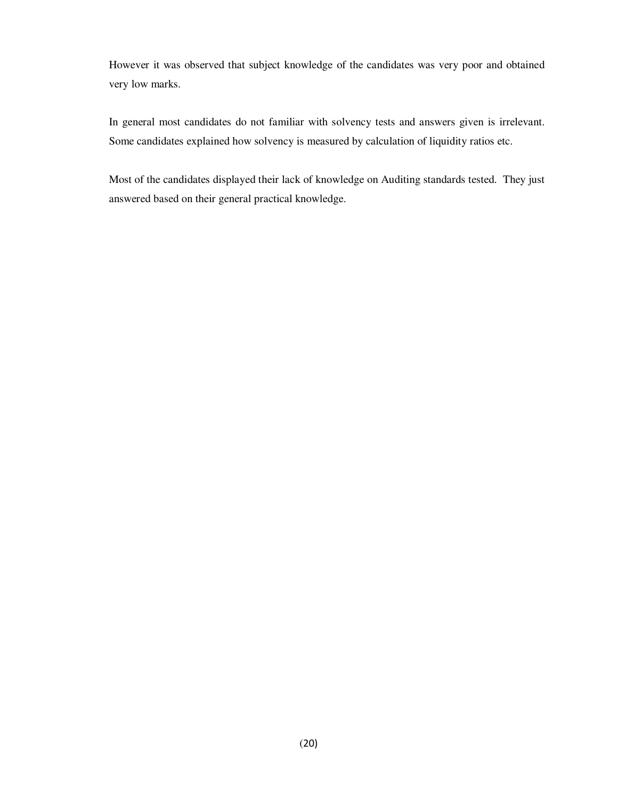However it was observed that subject knowledge of the candidates was very poor and obtained very low marks.

In general most candidates do not familiar with solvency tests and answers given is irrelevant. Some candidates explained how solvency is measured by calculation of liquidity ratios etc.

Most of the candidates displayed their lack of knowledge on Auditing standards tested. They just answered based on their general practical knowledge.